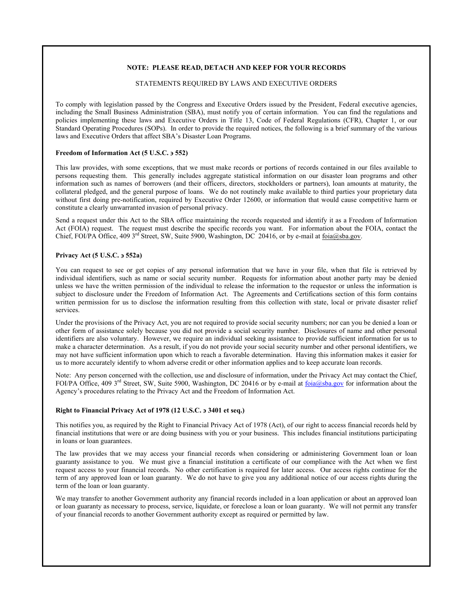# **NOTE: PLEASE READ, DETACH AND KEEP FOR YOUR RECORDS**

# STATEMENTS REQUIRED BY LAWS AND EXECUTIVE ORDERS

To comply with legislation passed by the Congress and Executive Orders issued by the President, Federal executive agencies, including the Small Business Administration (SBA), must notify you of certain information. You can find the regulations and policies implementing these laws and Executive Orders in Title 13, Code of Federal Regulations (CFR), Chapter 1, or our Standard Operating Procedures (SOPs). In order to provide the required notices, the following is a brief summary of the various laws and Executive Orders that affect SBA's Disaster Loan Programs.

# **Freedom of Information Act (5 U.S.C.** ∋ **552)**

This law provides, with some exceptions, that we must make records or portions of records contained in our files available to persons requesting them. This generally includes aggregate statistical information on our disaster loan programs and other information such as names of borrowers (and their officers, directors, stockholders or partners), loan amounts at maturity, the collateral pledged, and the general purpose of loans. We do not routinely make available to third parties your proprietary data without first doing pre-notification, required by Executive Order 12600, or information that would cause competitive harm or constitute a clearly unwarranted invasion of personal privacy.

Send a request under this Act to the SBA office maintaining the records requested and identify it as a Freedom of Information Act (FOIA) request. The request must describe the specific records you want. For information about the FOIA, contact the Chief, FOI/PA Office, 409 3<sup>rd</sup> Street, SW, Suite 5900, Washington, DC 20416, or by e-mail at foia@sba.gov.

## **Privacy Act (5 U.S.C.** ∋ **552a)**

You can request to see or get copies of any personal information that we have in your file, when that file is retrieved by individual identifiers, such as name or social security number. Requests for information about another party may be denied unless we have the written permission of the individual to release the information to the requestor or unless the information is subject to disclosure under the Freedom of Information Act. The Agreements and Certifications section of this form contains written permission for us to disclose the information resulting from this collection with state, local or private disaster relief services.

Under the provisions of the Privacy Act, you are not required to provide social security numbers; nor can you be denied a loan or other form of assistance solely because you did not provide a social security number. Disclosures of name and other personal identifiers are also voluntary. However, we require an individual seeking assistance to provide sufficient information for us to make a character determination. As a result, if you do not provide your social security number and other personal identifiers, we may not have sufficient information upon which to reach a favorable determination. Having this information makes it easier for us to more accurately identify to whom adverse credit or other information applies and to keep accurate loan records.

Note: Any person concerned with the collection, use and disclosure of information, under the Privacy Act may contact the Chief, FOI/PA Office, 409 3<sup>rd</sup> Street, SW, Suite 5900, Washington, DC 20416 or by e-mail at <u>foia@sba.gov</u> for information about the Agency's procedures relating to the Privacy Act and the Freedom of Information Act.

### **Right to Financial Privacy Act of 1978 (12 U.S.C.** ∋ **3401 et seq.)**

This notifies you, as required by the Right to Financial Privacy Act of 1978 (Act), of our right to access financial records held by financial institutions that were or are doing business with you or your business. This includes financial institutions participating in loans or loan guarantees.

The law provides that we may access your financial records when considering or administering Government loan or loan guaranty assistance to you. We must give a financial institution a certificate of our compliance with the Act when we first request access to your financial records. No other certification is required for later access. Our access rights continue for the term of any approved loan or loan guaranty. We do not have to give you any additional notice of our access rights during the term of the loan or loan guaranty.

We may transfer to another Government authority any financial records included in a loan application or about an approved loan or loan guaranty as necessary to process, service, liquidate, or foreclose a loan or loan guaranty. We will not permit any transfer of your financial records to another Government authority except as required or permitted by law.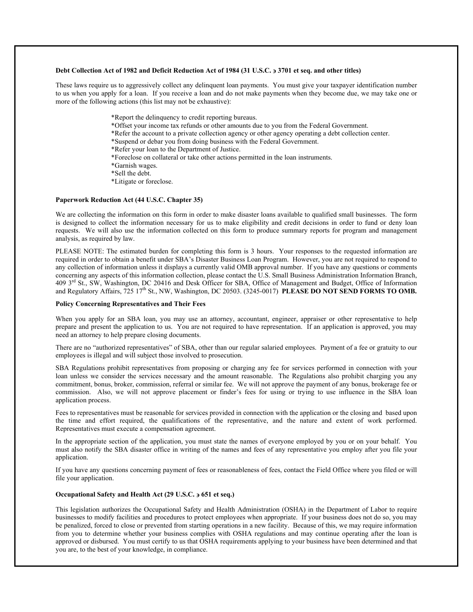#### **Debt Collection Act of 1982 and Deficit Reduction Act of 1984 (31 U.S.C.** ∋ **3701 et seq. and other titles)**

These laws require us to aggressively collect any delinquent loan payments. You must give your taxpayer identification number to us when you apply for a loan. If you receive a loan and do not make payments when they become due, we may take one or more of the following actions (this list may not be exhaustive):

> \*Report the delinquency to credit reporting bureaus. \*Offset your income tax refunds or other amounts due to you from the Federal Government. \*Refer the account to a private collection agency or other agency operating a debt collection center. \*Suspend or debar you from doing business with the Federal Government. \*Refer your loan to the Department of Justice. \*Foreclose on collateral or take other actions permitted in the loan instruments. \*Garnish wages. \*Sell the debt. \*Litigate or foreclose.

# **Paperwork Reduction Act (44 U.S.C. Chapter 35)**

We are collecting the information on this form in order to make disaster loans available to qualified small businesses. The form is designed to collect the information necessary for us to make eligibility and credit decisions in order to fund or deny loan requests. We will also use the information collected on this form to produce summary reports for program and management analysis, as required by law.

PLEASE NOTE: The estimated burden for completing this form is 3 hours. Your responses to the requested information are required in order to obtain a benefit under SBA's Disaster Business Loan Program. However, you are not required to respond to any collection of information unless it displays a currently valid OMB approval number. If you have any questions or comments concerning any aspects of this information collection, please contact the U.S. Small Business Administration Information Branch, 409 3rd St., SW, Washington, DC 20416 and Desk Officer for SBA, Office of Management and Budget, Office of Information and Regulatory Affairs, 725 17<sup>th</sup> St., NW, Washington, DC 20503. (3245-0017) **PLEASE DO NOT SEND FORMS TO OMB.** 

#### **Policy Concerning Representatives and Their Fees**

When you apply for an SBA loan, you may use an attorney, accountant, engineer, appraiser or other representative to help prepare and present the application to us. You are not required to have representation. If an application is approved, you may need an attorney to help prepare closing documents.

There are no "authorized representatives" of SBA, other than our regular salaried employees. Payment of a fee or gratuity to our employees is illegal and will subject those involved to prosecution.

SBA Regulations prohibit representatives from proposing or charging any fee for services performed in connection with your loan unless we consider the services necessary and the amount reasonable. The Regulations also prohibit charging you any commitment, bonus, broker, commission, referral or similar fee. We will not approve the payment of any bonus, brokerage fee or commission. Also, we will not approve placement or finder's fees for using or trying to use influence in the SBA loan application process.

Fees to representatives must be reasonable for services provided in connection with the application or the closing and based upon the time and effort required, the qualifications of the representative, and the nature and extent of work performed. Representatives must execute a compensation agreement.

In the appropriate section of the application, you must state the names of everyone employed by you or on your behalf. You must also notify the SBA disaster office in writing of the names and fees of any representative you employ after you file your application.

If you have any questions concerning payment of fees or reasonableness of fees, contact the Field Office where you filed or will file your application.

# **Occupational Safety and Health Act (29 U.S.C.** ∋ **651 et seq.)**

This legislation authorizes the Occupational Safety and Health Administration (OSHA) in the Department of Labor to require businesses to modify facilities and procedures to protect employees when appropriate. If your business does not do so, you may be penalized, forced to close or prevented from starting operations in a new facility. Because of this, we may require information from you to determine whether your business complies with OSHA regulations and may continue operating after the loan is approved or disbursed. You must certify to us that OSHA requirements applying to your business have been determined and that you are, to the best of your knowledge, in compliance.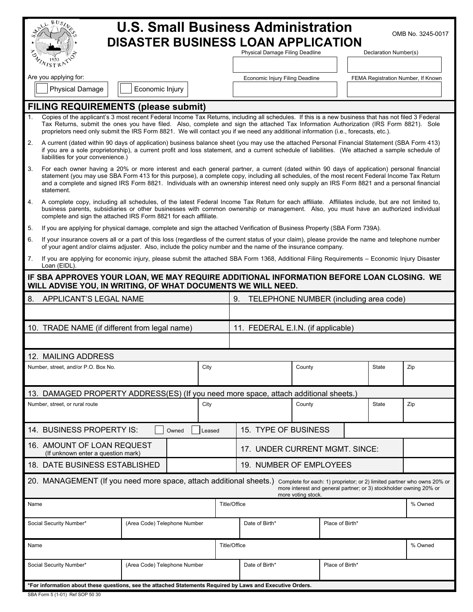| $BUS_{\lambda}$                                                                                                                                                                                                                                                                                                                                                                                                                                              |                                                                                                                            |                                                                                                                                                                     |                                    |         |  |  |
|--------------------------------------------------------------------------------------------------------------------------------------------------------------------------------------------------------------------------------------------------------------------------------------------------------------------------------------------------------------------------------------------------------------------------------------------------------------|----------------------------------------------------------------------------------------------------------------------------|---------------------------------------------------------------------------------------------------------------------------------------------------------------------|------------------------------------|---------|--|--|
| <b>U.S. Small Business Administration</b><br>OMB No. 3245-0017<br><b>DISASTER BUSINESS LOAN APPLICATION</b>                                                                                                                                                                                                                                                                                                                                                  |                                                                                                                            |                                                                                                                                                                     |                                    |         |  |  |
| WISTRATION                                                                                                                                                                                                                                                                                                                                                                                                                                                   | Physical Damage Filing Deadline                                                                                            |                                                                                                                                                                     | Declaration Number(s)              |         |  |  |
| Are you applying for:                                                                                                                                                                                                                                                                                                                                                                                                                                        | Economic Injury Filing Deadline                                                                                            |                                                                                                                                                                     | FEMA Registration Number, If Known |         |  |  |
| Economic Injury<br><b>Physical Damage</b>                                                                                                                                                                                                                                                                                                                                                                                                                    |                                                                                                                            |                                                                                                                                                                     |                                    |         |  |  |
| <b>FILING REQUIREMENTS (please submit)</b>                                                                                                                                                                                                                                                                                                                                                                                                                   |                                                                                                                            |                                                                                                                                                                     |                                    |         |  |  |
| Copies of the applicant's 3 most recent Federal Income Tax Returns, including all schedules. If this is a new business that has not filed 3 Federal<br>1.<br>Tax Returns, submit the ones you have filed. Also, complete and sign the attached Tax Information Authorization (IRS Form 8821). Sole<br>proprietors need only submit the IRS Form 8821. We will contact you if we need any additional information (i.e., forecasts, etc.).                     |                                                                                                                            |                                                                                                                                                                     |                                    |         |  |  |
| 2.<br>A current (dated within 90 days of application) business balance sheet (you may use the attached Personal Financial Statement (SBA Form 413)<br>if you are a sole proprietorship), a current profit and loss statement, and a current schedule of liabilities. (We attached a sample schedule of<br>liabilities for your convenience.)                                                                                                                 |                                                                                                                            |                                                                                                                                                                     |                                    |         |  |  |
| 3.<br>For each owner having a 20% or more interest and each general partner, a current (dated within 90 days of application) personal financial<br>statement (you may use SBA Form 413 for this purpose), a complete copy, including all schedules, of the most recent Federal Income Tax Return<br>and a complete and signed IRS Form 8821. Individuals with an ownership interest need only supply an IRS Form 8821 and a personal financial<br>statement. |                                                                                                                            |                                                                                                                                                                     |                                    |         |  |  |
| 4.<br>A complete copy, including all schedules, of the latest Federal Income Tax Return for each affiliate. Affiliates include, but are not limited to,<br>business parents, subsidiaries or other businesses with common ownership or management. Also, you must have an authorized individual<br>complete and sign the attached IRS Form 8821 for each affiliate.                                                                                          |                                                                                                                            |                                                                                                                                                                     |                                    |         |  |  |
| 5.                                                                                                                                                                                                                                                                                                                                                                                                                                                           | If you are applying for physical damage, complete and sign the attached Verification of Business Property (SBA Form 739A). |                                                                                                                                                                     |                                    |         |  |  |
| 6.<br>If your insurance covers all or a part of this loss (regardless of the current status of your claim), please provide the name and telephone number<br>of your agent and/or claims adjuster. Also, include the policy number and the name of the insurance company.                                                                                                                                                                                     |                                                                                                                            |                                                                                                                                                                     |                                    |         |  |  |
| 7.<br>If you are applying for economic injury, please submit the attached SBA Form 1368, Additional Filing Requirements – Economic Injury Disaster<br>Loan (EIDL).                                                                                                                                                                                                                                                                                           |                                                                                                                            |                                                                                                                                                                     |                                    |         |  |  |
| IF SBA APPROVES YOUR LOAN, WE MAY REQUIRE ADDITIONAL INFORMATION BEFORE LOAN CLOSING. WE<br>WILL ADVISE YOU, IN WRITING, OF WHAT DOCUMENTS WE WILL NEED.                                                                                                                                                                                                                                                                                                     |                                                                                                                            |                                                                                                                                                                     |                                    |         |  |  |
| APPLICANT'S LEGAL NAME<br>8.<br>9.<br>TELEPHONE NUMBER (including area code)                                                                                                                                                                                                                                                                                                                                                                                 |                                                                                                                            |                                                                                                                                                                     |                                    |         |  |  |
|                                                                                                                                                                                                                                                                                                                                                                                                                                                              |                                                                                                                            |                                                                                                                                                                     |                                    |         |  |  |
| 10. TRADE NAME (if different from legal name)<br>11. FEDERAL E.I.N. (if applicable)                                                                                                                                                                                                                                                                                                                                                                          |                                                                                                                            |                                                                                                                                                                     |                                    |         |  |  |
|                                                                                                                                                                                                                                                                                                                                                                                                                                                              |                                                                                                                            |                                                                                                                                                                     |                                    |         |  |  |
| 12. MAILING ADDRESS                                                                                                                                                                                                                                                                                                                                                                                                                                          |                                                                                                                            |                                                                                                                                                                     |                                    |         |  |  |
| Number, street, and/or P.O. Box No.<br>City                                                                                                                                                                                                                                                                                                                                                                                                                  |                                                                                                                            | County                                                                                                                                                              | <b>State</b>                       | Zip     |  |  |
| 13. DAMAGED PROPERTY ADDRESS(ES) (If you need more space, attach additional sheets.)                                                                                                                                                                                                                                                                                                                                                                         |                                                                                                                            |                                                                                                                                                                     |                                    |         |  |  |
| City<br>Number, street, or rural route                                                                                                                                                                                                                                                                                                                                                                                                                       |                                                                                                                            | County                                                                                                                                                              | <b>State</b>                       | Zip     |  |  |
| 14. BUSINESS PROPERTY IS:<br>Owned<br>Leased                                                                                                                                                                                                                                                                                                                                                                                                                 |                                                                                                                            | 15. TYPE OF BUSINESS                                                                                                                                                |                                    |         |  |  |
| 16. AMOUNT OF LOAN REQUEST<br>(If unknown enter a question mark)                                                                                                                                                                                                                                                                                                                                                                                             |                                                                                                                            | 17. UNDER CURRENT MGMT. SINCE:                                                                                                                                      |                                    |         |  |  |
| 18. DATE BUSINESS ESTABLISHED                                                                                                                                                                                                                                                                                                                                                                                                                                |                                                                                                                            | 19. NUMBER OF EMPLOYEES                                                                                                                                             |                                    |         |  |  |
| 20. MANAGEMENT (If you need more space, attach additional sheets.)                                                                                                                                                                                                                                                                                                                                                                                           |                                                                                                                            | Complete for each: 1) proprietor; or 2) limited partner who owns 20% or<br>more interest and general partner; or 3) stockholder owning 20% or<br>more voting stock. |                                    |         |  |  |
| Name                                                                                                                                                                                                                                                                                                                                                                                                                                                         | <b>Title/Office</b>                                                                                                        | % Owned                                                                                                                                                             |                                    |         |  |  |
| Social Security Number*<br>(Area Code) Telephone Number                                                                                                                                                                                                                                                                                                                                                                                                      | Date of Birth*                                                                                                             | Place of Birth*                                                                                                                                                     |                                    |         |  |  |
| Name                                                                                                                                                                                                                                                                                                                                                                                                                                                         | <b>Title/Office</b>                                                                                                        |                                                                                                                                                                     |                                    | % Owned |  |  |
| Social Security Number*<br>(Area Code) Telephone Number                                                                                                                                                                                                                                                                                                                                                                                                      | Date of Birth*                                                                                                             | Place of Birth*                                                                                                                                                     |                                    |         |  |  |
| For information about these questions, see the attached Statements Required by Laws and Executive Orders.*                                                                                                                                                                                                                                                                                                                                                   |                                                                                                                            |                                                                                                                                                                     |                                    |         |  |  |